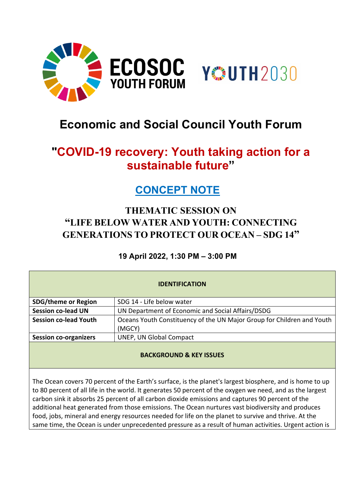

# **Economic and Social Council Youth Forum**

# **"COVID-19 recovery: Youth taking action for a sustainable future"**

## **CONCEPT NOTE**

### **THEMATIC SESSION ON "LIFE BELOW WATER AND YOUTH: CONNECTING GENERATIONS TO PROTECT OUR OCEAN – SDG 14"**

### **19 April 2022, 1:30 PM – 3:00 PM**

| <b>IDENTIFICATION</b>        |                                                                                  |
|------------------------------|----------------------------------------------------------------------------------|
| <b>SDG/theme or Region</b>   | SDG 14 - Life below water                                                        |
| <b>Session co-lead UN</b>    | UN Department of Economic and Social Affairs/DSDG                                |
| <b>Session co-lead Youth</b> | Oceans Youth Constituency of the UN Major Group for Children and Youth<br>(MGCY) |
| <b>Session co-organizers</b> | <b>UNEP, UN Global Compact</b>                                                   |
|                              |                                                                                  |

#### **BACKGROUND & KEY ISSUES**

The Ocean covers 70 percent of the Earth's surface, is the planet's largest biosphere, and is home to up to 80 percent of all life in the world. It generates 50 percent of the oxygen we need, and as the largest carbon sink it absorbs 25 percent of all carbon dioxide emissions and captures 90 percent of the additional heat generated from those emissions. The Ocean nurtures vast biodiversity and produces food, jobs, mineral and energy resources needed for life on the planet to survive and thrive. At the same time, the Ocean is under unprecedented pressure as a result of human activities. Urgent action is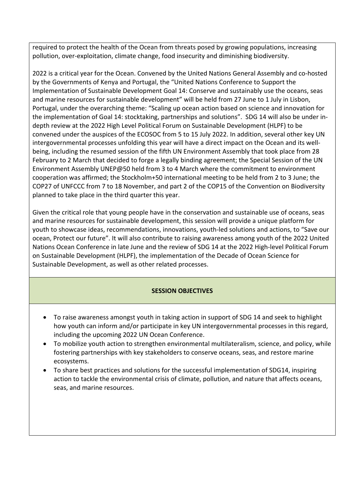required to protect the health of the Ocean from threats posed by growing populations, increasing pollution, over-exploitation, climate change, food insecurity and diminishing biodiversity.

2022 is a critical year for the Ocean. Convened by the United Nations General Assembly and co-hosted by the Governments of Kenya and Portugal, the ["United Nations Conference to Support the](https://www.un.org/en/conferences/ocean2022)  [Implementation of Sustainable Development Goal 14: Conserve and sustainably use the oceans, seas](https://www.un.org/en/conferences/ocean2022)  [and marine resources for sustainable development"](https://www.un.org/en/conferences/ocean2022) will be held from 27 June to 1 July in Lisbon, Portugal, under the overarching theme: "Scaling up ocean action based on science and innovation for the implementation of Goal 14: stocktaking, partnerships and solutions". SDG 14 will also be under indepth review at the 2022 High Level Political Forum on Sustainable Development (HLPF) to be convened under the auspices of the ECOSOC from 5 to 15 July 2022. In addition, several other key UN intergovernmental processes unfolding this year will have a direct impact on the Ocean and its wellbeing, including the resumed session of the fifth UN Environment Assembly that took place from 28 February to 2 March that decided to forge a legally binding agreement; the Special Session of the UN Environment Assembly UNEP@50 held from 3 to 4 March where the commitment to environment cooperation was affirmed; the Stockholm+50 international meeting to be held from 2 to 3 June; the COP27 of UNFCCC from 7 to 18 November, and part 2 of the COP15 of the Convention on Biodiversity planned to take place in the third quarter this year.

Given the critical role that young people have in the conservation and sustainable use of oceans, seas and marine resources for sustainable development, this session will provide a unique platform for youth to showcase ideas, recommendations, innovations, youth-led solutions and actions, to "Save our ocean, Protect our future". It will also contribute to raising awareness among youth of the 2022 United Nations Ocean Conference in late June and the review of SDG 14 at the 2022 High-level Political Forum on Sustainable Development (HLPF), the implementation of the Decade of Ocean Science for Sustainable Development, as well as other related processes.

#### **SESSION OBJECTIVES**

- To raise awareness amongst youth in taking action in support of SDG 14 and seek to highlight how youth can inform and/or participate in key UN intergovernmental processes in this regard, including the upcoming 2022 UN Ocean Conference.
- To mobilize youth action to strengthen environmental multilateralism, science, and policy, while fostering partnerships with key stakeholders to conserve oceans, seas, and restore marine ecosystems.
- To share best practices and solutions for the successful implementation of SDG14, inspiring action to tackle the environmental crisis of climate, pollution, and nature that affects oceans, seas, and marine resources.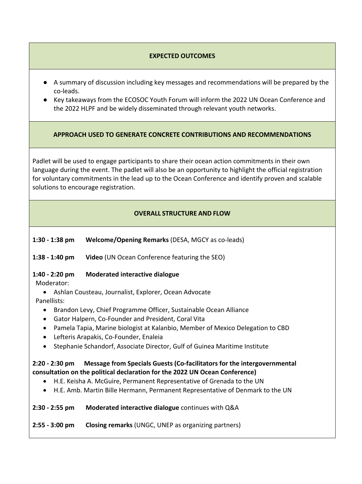#### **EXPECTED OUTCOMES**

- A summary of discussion including key messages and recommendations will be prepared by the co-leads.
- Key takeaways from the ECOSOC Youth Forum will inform the 2022 UN Ocean Conference and the 2022 HLPF and be widely disseminated through relevant youth networks.

#### **APPROACH USED TO GENERATE CONCRETE CONTRIBUTIONS AND RECOMMENDATIONS**

Padlet will be used to engage participants to share their ocean action commitments in their own language during the event. The padlet will also be an opportunity to highlight the official registration for voluntary commitments in the lead up to the Ocean Conference and identify proven and scalable solutions to encourage registration.

#### **OVERALL STRUCTURE AND FLOW**

- **1:30 - 1:38 pm Welcome/Opening Remarks** (DESA, MGCY as co-leads)
- **1:38 - 1:40 pm Video** (UN Ocean Conference featuring the SEO)
- **1:40 - 2:20 pm Moderated interactive dialogue**
- Moderator:
	- Ashlan Cousteau, Journalist, Explorer, Ocean Advocate
- Panellists:
	- Brandon Levy, Chief Programme Officer, Sustainable Ocean Alliance
	- Gator Halpern, Co-Founder and President, Coral Vita
	- Pamela Tapia, Marine biologist at Kalanbio, Member of Mexico Delegation to CBD
	- Lefteris Arapakis, Co-Founder, Enaleia
	- Stephanie Schandorf, Associate Director, Gulf of Guinea Maritime Institute

#### **2:20 - 2:30 pm Message from Specials Guests (Co-facilitators for the intergovernmental consultation on the political declaration for the 2022 UN Ocean Conference)**

- H.E. Keisha A. McGuire, Permanent Representative of Grenada to the UN
- H.E. Amb. Martin Bille Hermann, Permanent Representative of Denmark to the UN

#### **2:30 - 2:55 pm Moderated interactive dialogue** continues with Q&A

**2:55 - 3:00 pm Closing remarks** (UNGC, UNEP as organizing partners)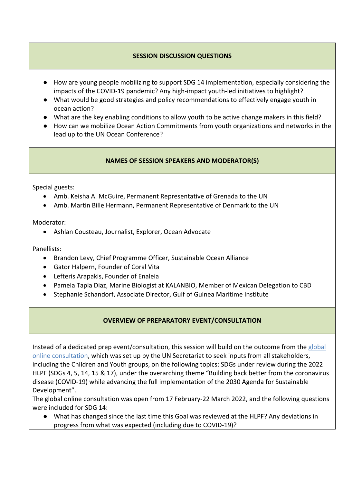#### **SESSION DISCUSSION QUESTIONS**

- How are young people mobilizing to support SDG 14 implementation, especially considering the impacts of the COVID-19 pandemic? Any high-impact youth-led initiatives to highlight?
- What would be good strategies and policy recommendations to effectively engage youth in ocean action?
- What are the key enabling conditions to allow youth to be active change makers in this field?
- How can we mobilize Ocean Action Commitments from youth organizations and networks in the lead up to the UN Ocean Conference?

#### **NAMES OF SESSION SPEAKERS AND MODERATOR(S)**

Special guests:

- Amb. Keisha A. McGuire, Permanent Representative of Grenada to the UN
- Amb. Martin Bille Hermann, Permanent Representative of Denmark to the UN

Moderator:

• Ashlan Cousteau, Journalist, Explorer, Ocean Advocate

Panellists:

- Brandon Levy, Chief Programme Officer, Sustainable Ocean Alliance
- Gator Halpern, Founder of Coral Vita
- Lefteris Arapakis, Founder of Enaleia
- Pamela Tapia Diaz, Marine Biologist at KALANBIO, Member of Mexican Delegation to CBD
- Stephanie Schandorf, Associate Director, Gulf of Guinea Maritime Institute

#### **OVERVIEW OF PREPARATORY EVENT/CONSULTATION**

Instead of a dedicated prep event/consultation, this session will build on the outcome from the global [online consultation,](https://sdgs.un.org/basic-page/global-online-consultation-sdgs-under-review-2022-high-level-political-forum-sustainable) which was set up by the UN Secretariat to seek inputs from all stakeholders, including the Children and Youth groups, on the following topics: SDGs under review during the 2022 HLPF (SDGs 4, 5, 14, 15 & 17), under the overarching theme "Building back better from the coronavirus disease (COVID-19) while advancing the full implementation of the 2030 Agenda for Sustainable Development".

The global online consultation was open from 17 February-22 March 2022, and the following questions were included for SDG 14:

● What has changed since the last time this Goal was reviewed at the HLPF? Any deviations in progress from what was expected (including due to COVID-19)?